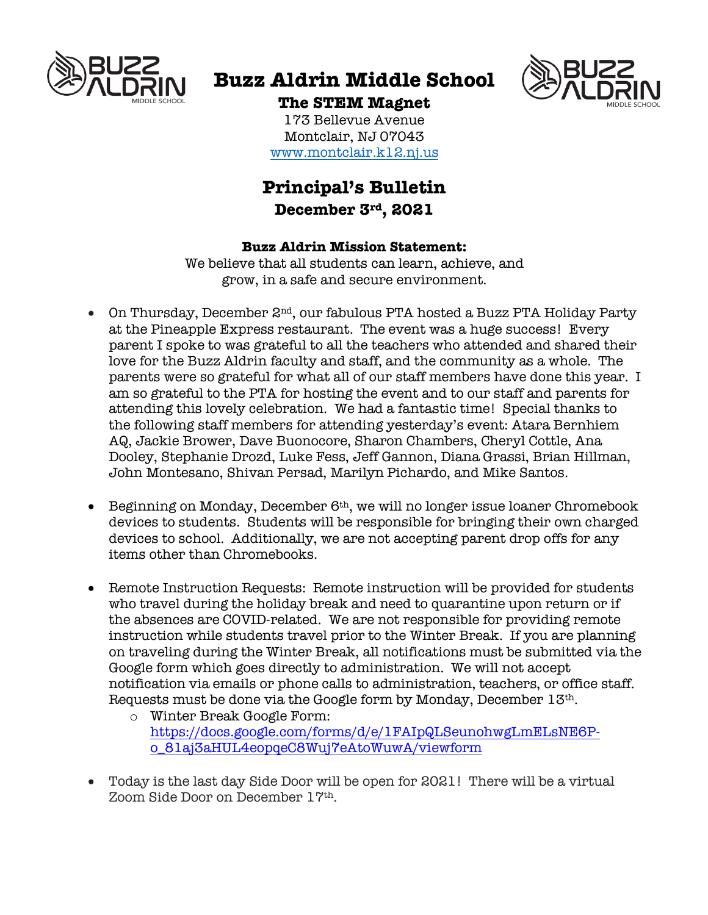

# **Buzz Aldrin Middle School**



### **The STEM Magnet**

173 Bellevue Avenue Montclair, NJ 07043 www.montclair.k12.nj.us

## **Principal's Bulletin December 3rd, 2021**

#### **Buzz Aldrin Mission Statement:**

We believe that all students can learn, achieve, and grow, in a safe and secure environment.

- On Thursday, December  $2^{nd}$ , our fabulous PTA hosted a Buzz PTA Holiday Party at the Pineapple Express restaurant. The event was a huge success! Every parent I spoke to was grateful to all the teachers who attended and shared their love for the Buzz Aldrin faculty and staff, and the community as a whole. The parents were so grateful for what all of our staff members have done this year. I am so grateful to the PTA for hosting the event and to our staff and parents for attending this lovely celebration. We had a fantastic time! Special thanks to the following staff members for attending yesterday's event: Atara Bernhiem AQ, Jackie Brower, Dave Buonocore, Sharon Chambers, Cheryl Cottle, Ana Dooley, Stephanie Drozd, Luke Fess, Jeff Gannon, Diana Grassi, Brian Hillman, John Montesano, Shivan Persad, Marilyn Pichardo, and Mike Santos.
- Beginning on Monday, December 6<sup>th</sup>, we will no longer issue loaner Chromebook devices to students. Students will be responsible for bringing their own charged devices to school. Additionally, we are not accepting parent drop offs for any items other than Chromebooks.
- Remote Instruction Requests: Remote instruction will be provided for students who travel during the holiday break and need to quarantine upon return or if the absences are COVID-related. We are not responsible for providing remote instruction while students travel prior to the Winter Break. If you are planning on traveling during the Winter Break, all notifications must be submitted via the Google form which goes directly to administration. We will not accept notification via emails or phone calls to administration, teachers, or office staff. Requests must be done via the Google form by Monday, December 13th.
	- o Winter Break Google Form: https://docs.google.com/forms/d/e/1FAIpQLSeunohwgLmELsNE6Po\_81aj3aHUL4eopqeC8Wuj7eAtoWuwA/viewform
- Today is the last day Side Door will be open for 2021! There will be a virtual Zoom Side Door on December 17th.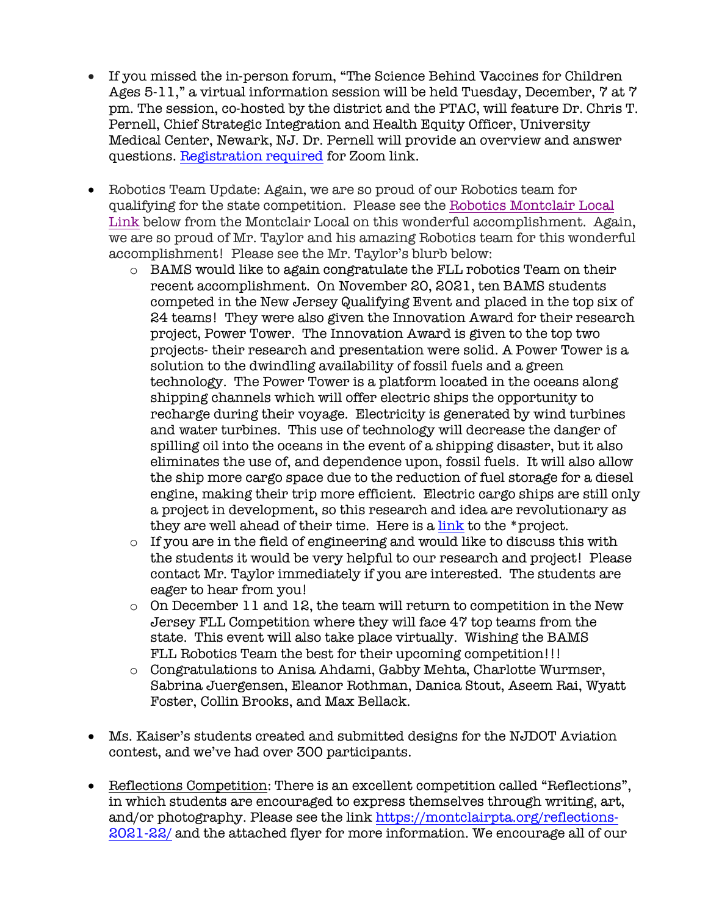- If you missed the in-person forum, "The Science Behind Vaccines for Children Ages 5-11," a virtual information session will be held Tuesday, December, 7 at 7 pm. The session, co-hosted by the district and the PTAC, will feature Dr. Chris T. Pernell, Chief Strategic Integration and Health Equity Officer, University Medical Center, Newark, NJ. Dr. Pernell will provide an overview and answer questions. Registration required for Zoom link.
- Robotics Team Update: Again, we are so proud of our Robotics team for qualifying for the state competition. Please see the Robotics Montclair Local Link below from the Montclair Local on this wonderful accomplishment. Again, we are so proud of Mr. Taylor and his amazing Robotics team for this wonderful accomplishment! Please see the Mr. Taylor's blurb below:
	- o BAMS would like to again congratulate the FLL robotics Team on their recent accomplishment. On November 20, 2021, ten BAMS students competed in the New Jersey Qualifying Event and placed in the top six of 24 teams! They were also given the Innovation Award for their research project, Power Tower. The Innovation Award is given to the top two projects- their research and presentation were solid. A Power Tower is a solution to the dwindling availability of fossil fuels and a green technology. The Power Tower is a platform located in the oceans along shipping channels which will offer electric ships the opportunity to recharge during their voyage. Electricity is generated by wind turbines and water turbines. This use of technology will decrease the danger of spilling oil into the oceans in the event of a shipping disaster, but it also eliminates the use of, and dependence upon, fossil fuels. It will also allow the ship more cargo space due to the reduction of fuel storage for a diesel engine, making their trip more efficient. Electric cargo ships are still only a project in development, so this research and idea are revolutionary as they are well ahead of their time. Here is a link to the \*project.
	- o If you are in the field of engineering and would like to discuss this with the students it would be very helpful to our research and project! Please contact Mr. Taylor immediately if you are interested. The students are eager to hear from you!
	- o On December 11 and 12, the team will return to competition in the New Jersey FLL Competition where they will face 47 top teams from the state. This event will also take place virtually. Wishing the BAMS FLL Robotics Team the best for their upcoming competition!!!
	- o Congratulations to Anisa Ahdami, Gabby Mehta, Charlotte Wurmser, Sabrina Juergensen, Eleanor Rothman, Danica Stout, Aseem Rai, Wyatt Foster, Collin Brooks, and Max Bellack.
- Ms. Kaiser's students created and submitted designs for the NJDOT Aviation contest, and we've had over 300 participants.
- Reflections Competition: There is an excellent competition called "Reflections", in which students are encouraged to express themselves through writing, art, and/or photography. Please see the link https://montclairpta.org/reflections-2021-22/ and the attached flyer for more information. We encourage all of our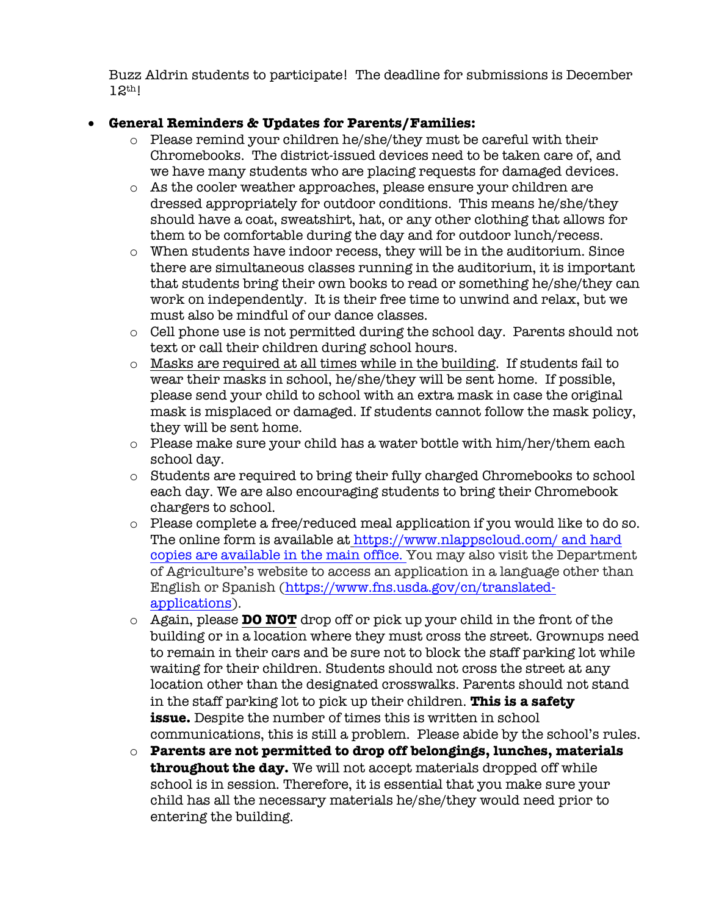Buzz Aldrin students to participate! The deadline for submissions is December 12th!

#### • **General Reminders & Updates for Parents/Families:**

- o Please remind your children he/she/they must be careful with their Chromebooks. The district-issued devices need to be taken care of, and we have many students who are placing requests for damaged devices.
- o As the cooler weather approaches, please ensure your children are dressed appropriately for outdoor conditions. This means he/she/they should have a coat, sweatshirt, hat, or any other clothing that allows for them to be comfortable during the day and for outdoor lunch/recess.
- o When students have indoor recess, they will be in the auditorium. Since there are simultaneous classes running in the auditorium, it is important that students bring their own books to read or something he/she/they can work on independently. It is their free time to unwind and relax, but we must also be mindful of our dance classes.
- o Cell phone use is not permitted during the school day. Parents should not text or call their children during school hours.
- o Masks are required at all times while in the building. If students fail to wear their masks in school, he/she/they will be sent home. If possible, please send your child to school with an extra mask in case the original mask is misplaced or damaged. If students cannot follow the mask policy, they will be sent home.
- o Please make sure your child has a water bottle with him/her/them each school day.
- o Students are required to bring their fully charged Chromebooks to school each day. We are also encouraging students to bring their Chromebook chargers to school.
- o Please complete a free/reduced meal application if you would like to do so. The online form is available at https://www.nlappscloud.com/ and hard copies are available in the main office. You may also visit the Department of Agriculture's website to access an application in a language other than English or Spanish (https://www.fns.usda.gov/cn/translatedapplications).
- o Again, please **DO NOT** drop off or pick up your child in the front of the building or in a location where they must cross the street. Grownups need to remain in their cars and be sure not to block the staff parking lot while waiting for their children. Students should not cross the street at any location other than the designated crosswalks. Parents should not stand in the staff parking lot to pick up their children. **This is a safety issue.** Despite the number of times this is written in school communications, this is still a problem. Please abide by the school's rules.
- o **Parents are not permitted to drop off belongings, lunches, materials throughout the day.** We will not accept materials dropped off while school is in session. Therefore, it is essential that you make sure your child has all the necessary materials he/she/they would need prior to entering the building.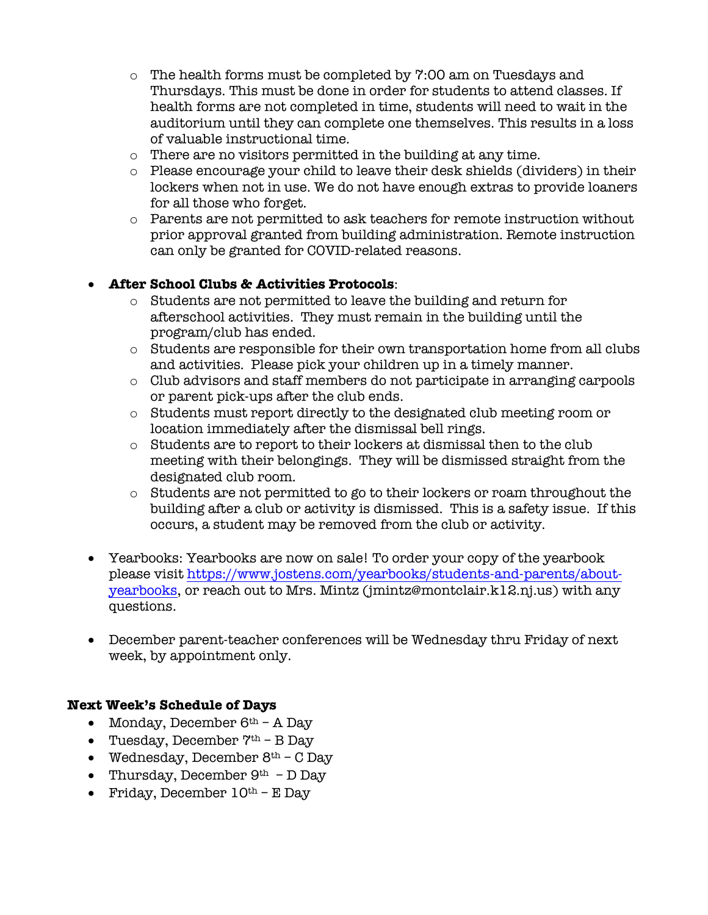- $\circ$  The health forms must be completed by 7:00 am on Tuesdays and Thursdays. This must be done in order for students to attend classes. If health forms are not completed in time, students will need to wait in the auditorium until they can complete one themselves. This results in a loss of valuable instructional time.
- o There are no visitors permitted in the building at any time.
- o Please encourage your child to leave their desk shields (dividers) in their lockers when not in use. We do not have enough extras to provide loaners for all those who forget.
- o Parents are not permitted to ask teachers for remote instruction without prior approval granted from building administration. Remote instruction can only be granted for COVID-related reasons.

#### • **After School Clubs & Activities Protocols**:

- o Students are not permitted to leave the building and return for afterschool activities. They must remain in the building until the program/club has ended.
- o Students are responsible for their own transportation home from all clubs and activities. Please pick your children up in a timely manner.
- o Club advisors and staff members do not participate in arranging carpools or parent pick-ups after the club ends.
- o Students must report directly to the designated club meeting room or location immediately after the dismissal bell rings.
- o Students are to report to their lockers at dismissal then to the club meeting with their belongings. They will be dismissed straight from the designated club room.
- $\circ$  Students are not permitted to go to their lockers or roam throughout the building after a club or activity is dismissed. This is a safety issue. If this occurs, a student may be removed from the club or activity.
- Yearbooks: Yearbooks are now on sale! To order your copy of the yearbook please visit https://www.jostens.com/yearbooks/students-and-parents/aboutyearbooks, or reach out to Mrs. Mintz (jmintz@montclair.k12.nj.us) with any questions.
- December parent-teacher conferences will be Wednesday thru Friday of next week, by appointment only.

#### **Next Week's Schedule of Days**

- Monday, December  $6<sup>th</sup>$  A Day
- Tuesday, December  $7<sup>th</sup>$  B Day
- Wednesday, December  $8<sup>th</sup>$  C Day
- Thursday, December  $9<sup>th</sup>$  D Day
- Friday, December  $10<sup>th</sup>$  E Day